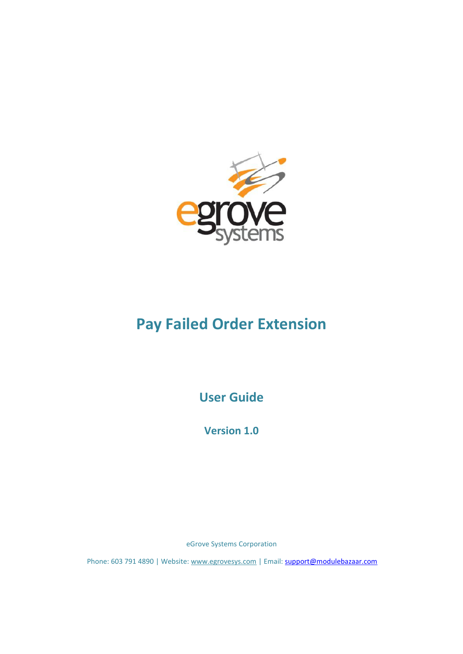

# **Pay Failed Order Extension**

**User Guide**

**Version 1.0**

eGrove Systems Corporation

Phone: 603 791 4890 | Website: [www.egrovesys.com](http://www.egrovesys.com/) | Email: [support@modulebazaar.com](mailto:support@mdulebazaar.com)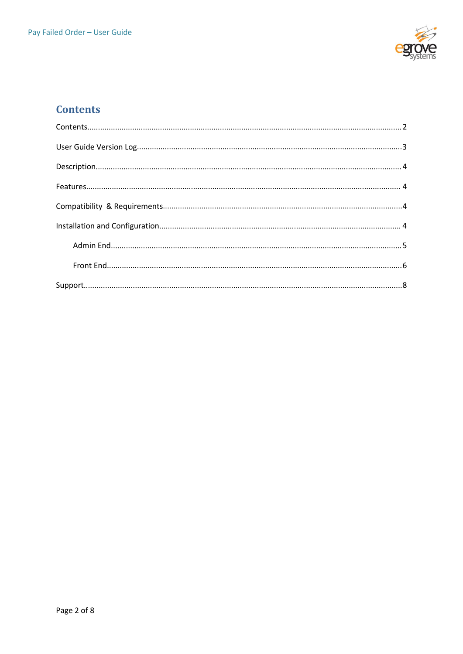

# <span id="page-1-0"></span>**Contents**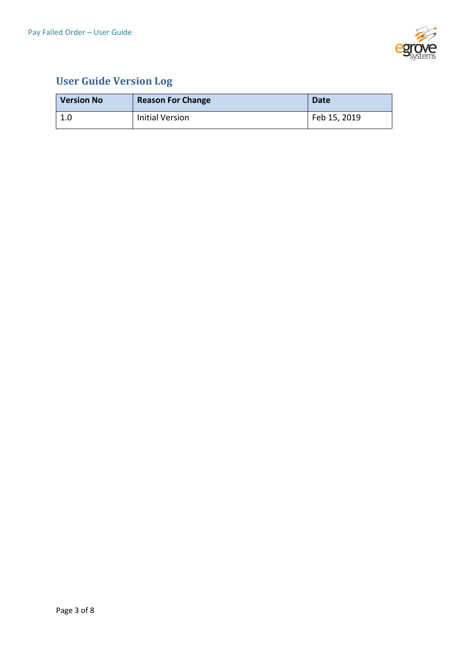

# <span id="page-2-0"></span>**User Guide Version Log**

| <b>Version No</b> | <b>Reason For Change</b> | <b>Date</b>  |
|-------------------|--------------------------|--------------|
| 1 O<br>T.N        | <b>Initial Version</b>   | Feb 15, 2019 |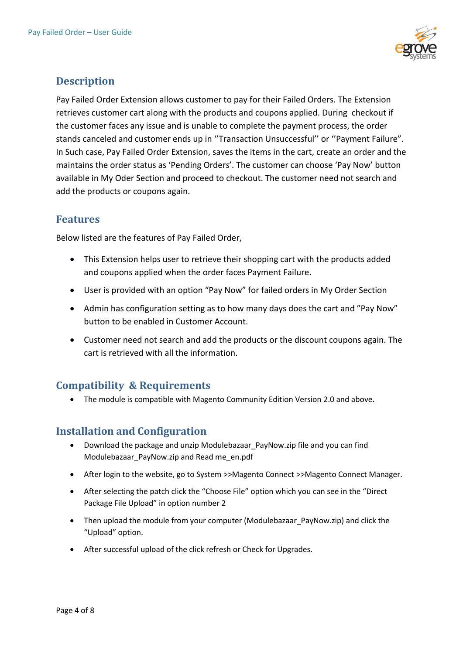

# <span id="page-3-0"></span>**Description**

Pay Failed Order Extension allows customer to pay for their Failed Orders. The Extension retrieves customer cart along with the products and coupons applied. During checkout if the customer faces any issue and is unable to complete the payment process, the order stands canceled and customer ends up in ''Transaction Unsuccessful'' or ''Payment Failure". In Such case, Pay Failed Order Extension, saves the items in the cart, create an order and the maintains the order status as 'Pending Orders'. The customer can choose 'Pay Now' button available in My Oder Section and proceed to checkout. The customer need not search and add the products or coupons again.

## <span id="page-3-1"></span>**Features**

Below listed are the features of Pay Failed Order,

- This Extension helps user to retrieve their shopping cart with the products added and coupons applied when the order faces Payment Failure.
- User is provided with an option "Pay Now" for failed orders in My Order Section
- Admin has configuration setting as to how many days does the cart and "Pay Now" button to be enabled in Customer Account.
- Customer need not search and add the products or the discount coupons again.The cart is retrieved with all the information.

# <span id="page-3-2"></span>**Compatibility & Requirements**

The module is compatible with Magento Community Edition Version 2.0 and above.

# <span id="page-3-3"></span>**Installation and Configuration**

- Download the package and unzip Modulebazaar\_PayNow.zip file and you can find Modulebazaar\_PayNow.zip and Read me\_en.pdf
- After login to the website, go to System >>Magento Connect >>Magento Connect Manager.
- After selecting the patch click the "Choose File" option which you can see in the "Direct Package File Upload" in option number 2
- Then upload the module from your computer (Modulebazaar\_PayNow.zip) and click the "Upload" option.
- After successful upload of the click refresh or Check for Upgrades.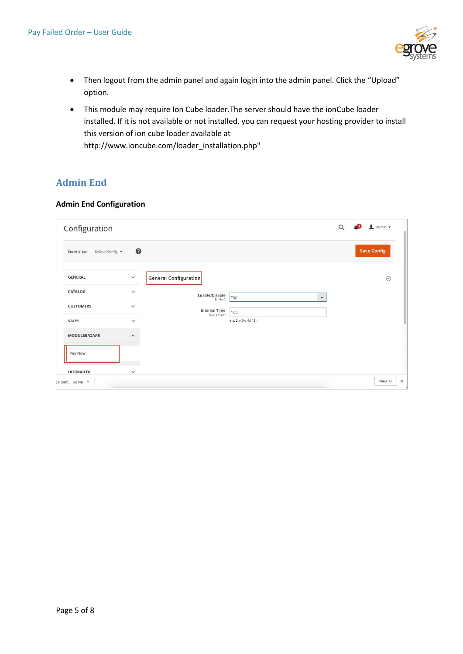

- Then logout from the admin panel and again login into the admin panel. Click the "Upload" option.
- This module may require Ion Cube loader. The server should have the ionCube loader installed. If it is not available or not installed, you can request your hosting provider to install this version of ion cube loader available at [http://www.ioncube.com/loader\\_installation.php"](http://www.ioncube.com/loader_installation.php)

### <span id="page-4-0"></span>**Admin End**

#### **Admin End Configuration**

<span id="page-4-1"></span>

| Configuration                          |                         |                                  |                         | $\alpha$ | $\Box$ admin $\star$<br>40 |
|----------------------------------------|-------------------------|----------------------------------|-------------------------|----------|----------------------------|
| Default Config v<br><b>Store View:</b> | $\bullet$               |                                  |                         |          | <b>Save Config</b>         |
| <b>GENERAL</b>                         | $\checkmark$            | General Configuration            |                         |          | $\odot$                    |
| CATALOG                                | $\checkmark$            | Enable/Disable                   | Yes<br>$\blacktriangle$ |          |                            |
| <b>CUSTOMERS</b>                       | $\checkmark$            | [global]<br><b>Interval Time</b> | 10d                     |          |                            |
| <b>SALES</b>                           | $\checkmark$            | [store view]                     | e.g. 2m 3w 4d 12h       |          |                            |
| <b>MODULEBAZAAR</b>                    | $\widehat{\phantom{0}}$ |                                  |                         |          |                            |
| Pay Now                                |                         |                                  |                         |          |                            |
| <b>DOTMAILER</b>                       | $\checkmark$            |                                  |                         |          |                            |
| e loadwebm ^                           |                         |                                  |                         |          | Show All<br>$\times$       |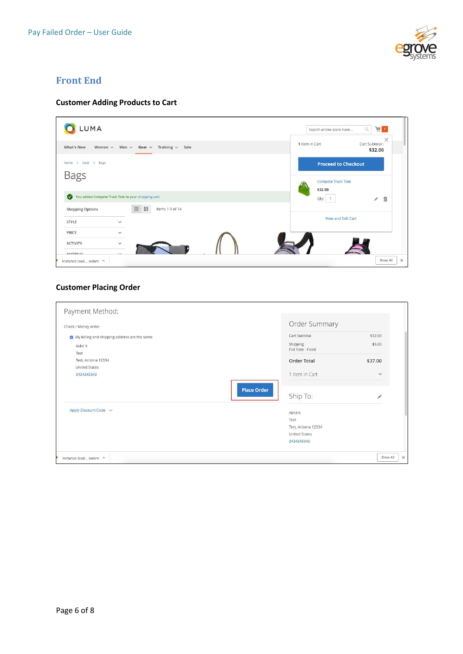

### **Front End**

### **Customer Adding Products to Cart**

| UMA.                                                                            | Search entire store here             | 画 1<br>$\hbox{\ensuremath{\mathsf{Q}}}$ |
|---------------------------------------------------------------------------------|--------------------------------------|-----------------------------------------|
| Training $\vee$<br>What's New<br>Men $\vee$ Gear $\vee$<br>Sale<br>Women $\vee$ | 1 Item in Cart                       | $\times$<br>Cart Subtotal:<br>\$32.00   |
| Home > Gear > Bags                                                              |                                      | <b>Proceed to Checkout</b>              |
| <b>Bags</b>                                                                     | <b>Compete Track Tote</b><br>\$32.00 |                                         |
| You added Compete Track Tote to your shopping cart.                             | Qty: 1                               | $\widehat{\overline{\mathbb{m}}}$<br>P  |
| m<br>$\frac{m}{m}$<br>Items 1-9 of 14<br><b>Shopping Options</b>                |                                      |                                         |
| STYLE<br>$\checkmark$                                                           |                                      | View and Edit Cart                      |
| PRICE<br>$\checkmark$                                                           |                                      |                                         |
| <b>ACTIVITY</b><br>$\checkmark$                                                 |                                      |                                         |
| <b>MATEDIAL</b>                                                                 |                                      |                                         |

### **Customer Placing Order**

| Payment Method:                              |                               |                      |
|----------------------------------------------|-------------------------------|----------------------|
| Check / Money order                          | Order Summary                 |                      |
| My billing and shipping address are the same | Cart Subtotal                 | \$32.00              |
| Akhil K<br>Test                              | Shipping<br>Flat Rate - Fixed | \$5.00               |
| Test, Arizona 12334<br><b>United States</b>  | <b>Order Total</b>            | \$37.00              |
| 3434343343                                   | 1 Item in Cart                | $\checkmark$         |
| <b>Place Order</b>                           | Ship To:                      | $\mathscr{I}$        |
| Apply Discount Code v                        | Akhil K                       |                      |
|                                              | Test                          |                      |
|                                              | Test, Arizona 12334           |                      |
|                                              | <b>United States</b>          |                      |
|                                              | 3434343343                    |                      |
| instance loadwebm ^                          |                               | Show All<br>$\times$ |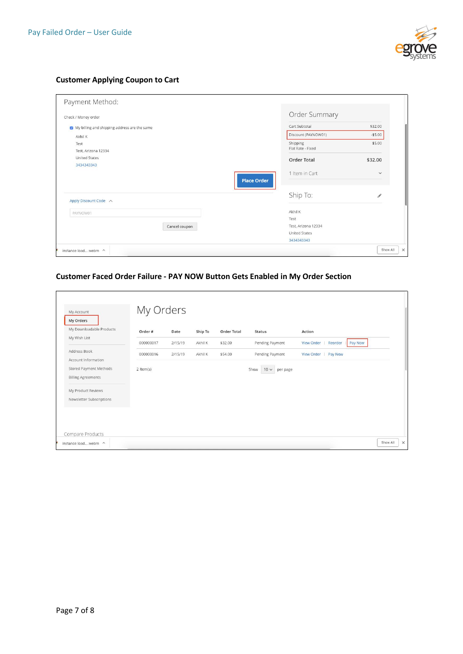

#### **Customer Applying Coupon to Cart**

| Check / Money order                          |               | Order Summary                        |              |
|----------------------------------------------|---------------|--------------------------------------|--------------|
| My billing and shipping address are the same |               | Cart Subtotal                        | \$32.00      |
| Akhil K                                      |               | Discount (PAYNOW01)                  | $- $5.00$    |
| Test                                         |               | Shipping                             | \$5.00       |
| Test, Arizona 12334                          |               | Flat Rate - Fixed                    |              |
| <b>United States</b>                         |               | <b>Order Total</b>                   | \$32.00      |
| 3434343343                                   |               |                                      |              |
|                                              |               | 1 Item in Cart<br><b>Place Order</b> | $\checkmark$ |
| Apply Discount Code ^                        |               | Ship To:                             | š            |
| PAYNOW01                                     |               | Akhil K                              |              |
|                                              |               | Test                                 |              |
|                                              | Cancel coupon | Test, Arizona 12334                  |              |
|                                              |               | <b>United States</b>                 |              |
|                                              |               | 3434343343                           |              |

#### **Customer Faced Order Failure - PAY NOW Button Gets Enabled in My Order Section**

| My Downloadable Products  |           |         |         |                    |                               |                              |         |  |
|---------------------------|-----------|---------|---------|--------------------|-------------------------------|------------------------------|---------|--|
| My Wish List              | Order #   | Date    | Ship To | <b>Order Total</b> | <b>Status</b>                 | Action                       |         |  |
|                           | 000000017 | 2/15/19 | Akhil K | \$32.00            | Pending Payment               | <b>View Order</b><br>Reorder | Pay Now |  |
| Address Book              | 000000016 | 2/15/19 | Akhil K | \$54.00            | Pending Payment               | View Order   Pay Now         |         |  |
| Account Information       |           |         |         |                    |                               |                              |         |  |
| Stored Payment Methods    | 2 Item(s) |         |         |                    | Show<br>$10 \vee$<br>per page |                              |         |  |
| <b>Billing Agreements</b> |           |         |         |                    |                               |                              |         |  |
| My Product Reviews        |           |         |         |                    |                               |                              |         |  |
| Newsletter Subscriptions  |           |         |         |                    |                               |                              |         |  |
|                           |           |         |         |                    |                               |                              |         |  |
|                           |           |         |         |                    |                               |                              |         |  |